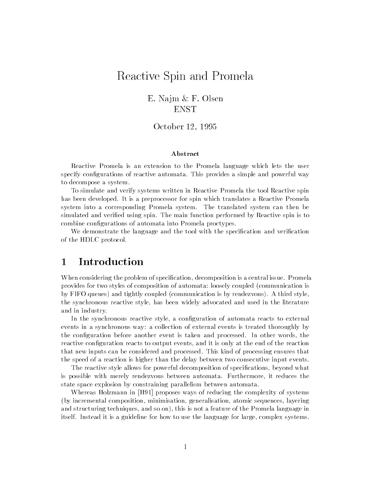## Reactive Spin and Promela

E. Najm & F. Olsen ENST

October 12, 1995

## Abstract

Reactive Promela is an extension to the Promela language which lets the user specify configurations of reactive automata. This provides a simple and powerful way to decompose a system.

To simulate and verify systems written in Reactive Promela the tool Reactive spin has been developed. It is a preprocessor for spin which translates a Reactive Promela system into a corresponding Promela system. The translated system can then be simulated and verified using spin. The main function performed by Reactive spin is to combine configurations of automata into Promela proctypes.

We demonstrate the language and the tool with the specification and verification of the HDLC protocol.

## **Introduction**  $\mathbf{1}$

When considering the problem of specification, decomposition is a central issue. Promela provides for two styles of composition of automata: loosely coupled (communication is by FIFO queues) and tightly coupled (communication is by rendezvous). A third style, the synchronous reactive style, has been widely advocated and used in the literature and in industry.

In the synchronous reactive style, a configuration of automata reacts to external events in a synchronous way: a collection of external events is treated thoroughly by the configuration before another event is taken and processed. In other words, the reactive conguration reacts to output events, and it is only at the end of the reaction that new inputs can be considered and processed. This kind of processing ensures that the speed of a reaction is higher than the delay between two consecutive input events.

The reactive style allows for powerful decomposition of specications, beyond what is possible with merely rendezvous between automata. Furthermore, it reduces the state space explosion by constraining parallelism between automata.

Whereas Holzmann in [H91] proposes ways of reducing the complexity of systems (by incremental composition, minimisation, generalisation, atomic sequences, layering and structuring techniques, and so on), this is not a feature of the Promela language in itself. Instead it is a guideline for how to use the language for large, complex systems.